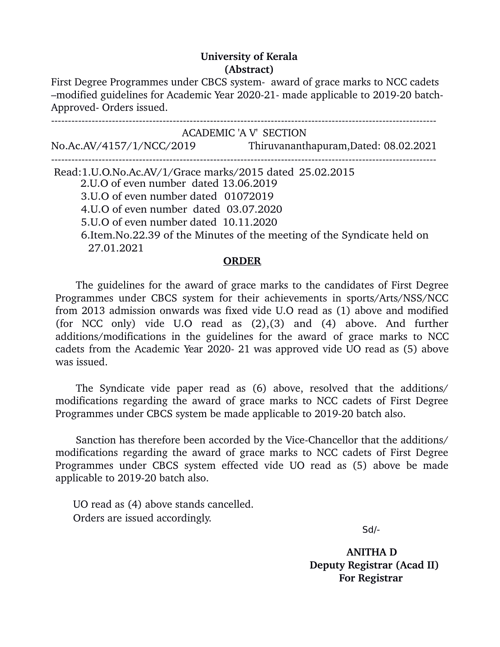## **University of Kerala (Abstract)**

First Degree Programmes under CBCS system- award of grace marks to NCC cadets –modified guidelines for Academic Year 2020-21- made applicable to 2019-20 batch-Approved- Orders issued.

 ACADEMIC 'A V' SECTION No.Ac.AV/4157/1/NCC/2019 Thiruvananthapuram,Dated: 08.02.2021 Read:1.U.O.No.Ac.AV/1/Grace marks/2015 dated 25.02.2015 2.U.O of even number dated 13.06.2019 3.U.O of even number dated 01072019 4.U.O of even number dated 03.07.2020 5.U.O of even number dated 10.11.2020 6.Item.No.22.39 of the Minutes of the meeting of the Syndicate held on 27.01.2021

## **ORDER**

The guidelines for the award of grace marks to the candidates of First Degree Programmes under CBCS system for their achievements in sports/Arts/NSS/NCC from 2013 admission onwards was fixed vide U.O read as (1) above and modified (for NCC only) vide  $U.O$  read as  $(2),(3)$  and  $(4)$  above. And further additions/modifications in the guidelines for the award of grace marks to NCC cadets from the Academic Year 2020- 21 was approved vide UO read as (5) above was issued.

The Syndicate vide paper read as (6) above, resolved that the additions/ modifications regarding the award of grace marks to NCC cadets of First Degree Programmes under CBCS system be made applicable to 2019-20 batch also.

Sanction has therefore been accorded by the Vice-Chancellor that the additions/ modifications regarding the award of grace marks to NCC cadets of First Degree Programmes under CBCS system effected vide UO read as (5) above be made applicable to 2019-20 batch also.

 UO read as (4) above stands cancelled. Orders are issued accordingly.

 $S$ d/- $S$ 

 **ANITHA D Deputy Registrar (Acad II) For Registrar**